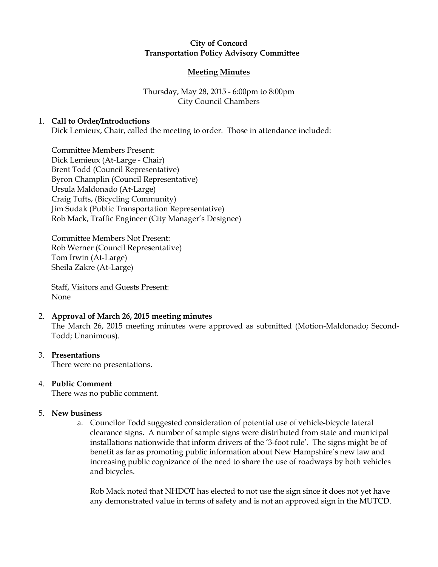## City of Concord Transportation Policy Advisory Committee

## Meeting Minutes

# Thursday, May 28, 2015 - 6:00pm to 8:00pm City Council Chambers

### 1. Call to Order/Introductions

Dick Lemieux, Chair, called the meeting to order. Those in attendance included:

Committee Members Present: Dick Lemieux (At-Large - Chair) Brent Todd (Council Representative) Byron Champlin (Council Representative) Ursula Maldonado (At-Large) Craig Tufts, (Bicycling Community) Jim Sudak (Public Transportation Representative) Rob Mack, Traffic Engineer (City Manager's Designee)

Committee Members Not Present: Rob Werner (Council Representative) Tom Irwin (At-Large) Sheila Zakre (At-Large)

Staff, Visitors and Guests Present: None

## 2. Approval of March 26, 2015 meeting minutes

The March 26, 2015 meeting minutes were approved as submitted (Motion-Maldonado; Second-Todd; Unanimous).

## 3. Presentations

There were no presentations.

## 4. Public Comment

There was no public comment.

## 5. New business

a. Councilor Todd suggested consideration of potential use of vehicle-bicycle lateral clearance signs. A number of sample signs were distributed from state and municipal installations nationwide that inform drivers of the '3-foot rule'. The signs might be of benefit as far as promoting public information about New Hampshire's new law and increasing public cognizance of the need to share the use of roadways by both vehicles and bicycles.

Rob Mack noted that NHDOT has elected to not use the sign since it does not yet have any demonstrated value in terms of safety and is not an approved sign in the MUTCD.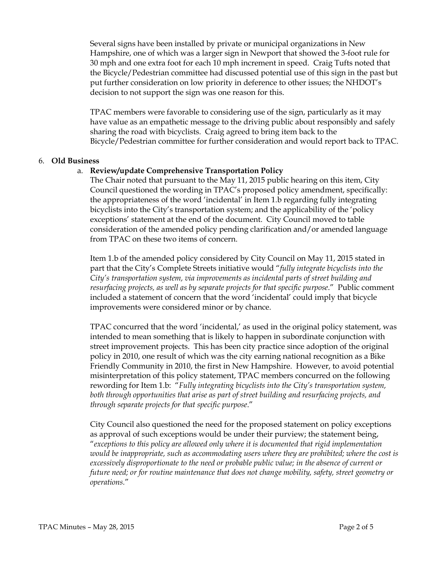Several signs have been installed by private or municipal organizations in New Hampshire, one of which was a larger sign in Newport that showed the 3-foot rule for 30 mph and one extra foot for each 10 mph increment in speed. Craig Tufts noted that the Bicycle/Pedestrian committee had discussed potential use of this sign in the past but put further consideration on low priority in deference to other issues; the NHDOT's decision to not support the sign was one reason for this.

TPAC members were favorable to considering use of the sign, particularly as it may have value as an empathetic message to the driving public about responsibly and safely sharing the road with bicyclists. Craig agreed to bring item back to the Bicycle/Pedestrian committee for further consideration and would report back to TPAC.

#### 6. Old Business

#### a. Review/update Comprehensive Transportation Policy

The Chair noted that pursuant to the May 11, 2015 public hearing on this item, City Council questioned the wording in TPAC's proposed policy amendment, specifically: the appropriateness of the word 'incidental' in Item 1.b regarding fully integrating bicyclists into the City's transportation system; and the applicability of the 'policy exceptions' statement at the end of the document. City Council moved to table consideration of the amended policy pending clarification and/or amended language from TPAC on these two items of concern.

Item 1.b of the amended policy considered by City Council on May 11, 2015 stated in part that the City's Complete Streets initiative would "fully integrate bicyclists into the City's transportation system, via improvements as incidental parts of street building and resurfacing projects, as well as by separate projects for that specific purpose." Public comment included a statement of concern that the word 'incidental' could imply that bicycle improvements were considered minor or by chance.

TPAC concurred that the word 'incidental,' as used in the original policy statement, was intended to mean something that is likely to happen in subordinate conjunction with street improvement projects. This has been city practice since adoption of the original policy in 2010, one result of which was the city earning national recognition as a Bike Friendly Community in 2010, the first in New Hampshire. However, to avoid potential misinterpretation of this policy statement, TPAC members concurred on the following rewording for Item 1.b: "Fully integrating bicyclists into the City's transportation system, both through opportunities that arise as part of street building and resurfacing projects, and through separate projects for that specific purpose."

City Council also questioned the need for the proposed statement on policy exceptions as approval of such exceptions would be under their purview; the statement being, "exceptions to this policy are allowed only where it is documented that rigid implementation would be inappropriate, such as accommodating users where they are prohibited; where the cost is excessively disproportionate to the need or probable public value; in the absence of current or future need; or for routine maintenance that does not change mobility, safety, street geometry or operations."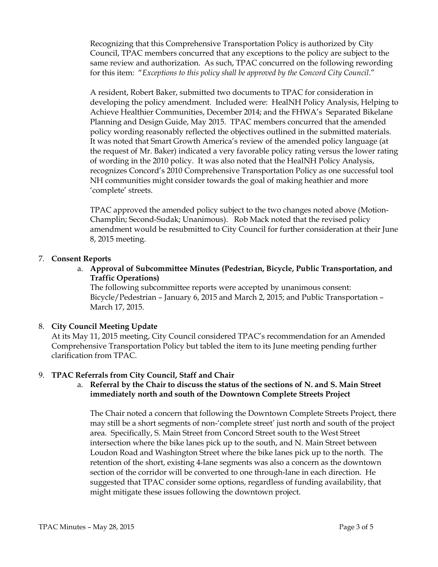Recognizing that this Comprehensive Transportation Policy is authorized by City Council, TPAC members concurred that any exceptions to the policy are subject to the same review and authorization. As such, TPAC concurred on the following rewording for this item: "Exceptions to this policy shall be approved by the Concord City Council."

A resident, Robert Baker, submitted two documents to TPAC for consideration in developing the policy amendment. Included were: HealNH Policy Analysis, Helping to Achieve Healthier Communities, December 2014; and the FHWA's Separated Bikelane Planning and Design Guide, May 2015. TPAC members concurred that the amended policy wording reasonably reflected the objectives outlined in the submitted materials. It was noted that Smart Growth America's review of the amended policy language (at the request of Mr. Baker) indicated a very favorable policy rating versus the lower rating of wording in the 2010 policy. It was also noted that the HealNH Policy Analysis, recognizes Concord's 2010 Comprehensive Transportation Policy as one successful tool NH communities might consider towards the goal of making heathier and more 'complete' streets.

TPAC approved the amended policy subject to the two changes noted above (Motion-Champlin; Second-Sudak; Unanimous). Rob Mack noted that the revised policy amendment would be resubmitted to City Council for further consideration at their June 8, 2015 meeting.

### 7. Consent Reports

a. Approval of Subcommittee Minutes (Pedestrian, Bicycle, Public Transportation, and Traffic Operations)

The following subcommittee reports were accepted by unanimous consent: Bicycle/Pedestrian – January 6, 2015 and March 2, 2015; and Public Transportation – March 17, 2015.

## 8. City Council Meeting Update

At its May 11, 2015 meeting, City Council considered TPAC's recommendation for an Amended Comprehensive Transportation Policy but tabled the item to its June meeting pending further clarification from TPAC.

#### 9. TPAC Referrals from City Council, Staff and Chair

a. Referral by the Chair to discuss the status of the sections of N. and S. Main Street immediately north and south of the Downtown Complete Streets Project

The Chair noted a concern that following the Downtown Complete Streets Project, there may still be a short segments of non-'complete street' just north and south of the project area. Specifically, S. Main Street from Concord Street south to the West Street intersection where the bike lanes pick up to the south, and N. Main Street between Loudon Road and Washington Street where the bike lanes pick up to the north. The retention of the short, existing 4-lane segments was also a concern as the downtown section of the corridor will be converted to one through-lane in each direction. He suggested that TPAC consider some options, regardless of funding availability, that might mitigate these issues following the downtown project.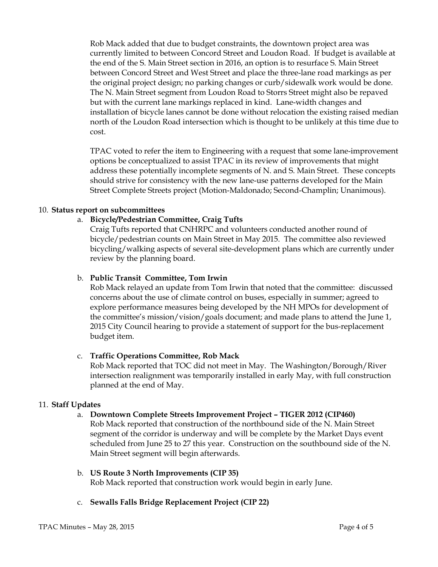Rob Mack added that due to budget constraints, the downtown project area was currently limited to between Concord Street and Loudon Road. If budget is available at the end of the S. Main Street section in 2016, an option is to resurface S. Main Street between Concord Street and West Street and place the three-lane road markings as per the original project design; no parking changes or curb/sidewalk work would be done. The N. Main Street segment from Loudon Road to Storrs Street might also be repaved but with the current lane markings replaced in kind. Lane-width changes and installation of bicycle lanes cannot be done without relocation the existing raised median north of the Loudon Road intersection which is thought to be unlikely at this time due to cost.

TPAC voted to refer the item to Engineering with a request that some lane-improvement options be conceptualized to assist TPAC in its review of improvements that might address these potentially incomplete segments of N. and S. Main Street. These concepts should strive for consistency with the new lane-use patterns developed for the Main Street Complete Streets project (Motion-Maldonado; Second-Champlin; Unanimous).

### 10. Status report on subcommittees

### a. Bicycle/Pedestrian Committee, Craig Tufts

Craig Tufts reported that CNHRPC and volunteers conducted another round of bicycle/pedestrian counts on Main Street in May 2015. The committee also reviewed bicycling/walking aspects of several site-development plans which are currently under review by the planning board.

### b. Public Transit Committee, Tom Irwin

Rob Mack relayed an update from Tom Irwin that noted that the committee: discussed concerns about the use of climate control on buses, especially in summer; agreed to explore performance measures being developed by the NH MPOs for development of the committee's mission/vision/goals document; and made plans to attend the June 1, 2015 City Council hearing to provide a statement of support for the bus-replacement budget item.

#### c. Traffic Operations Committee, Rob Mack

Rob Mack reported that TOC did not meet in May. The Washington/Borough/River intersection realignment was temporarily installed in early May, with full construction planned at the end of May.

#### 11. Staff Updates

#### a. Downtown Complete Streets Improvement Project – TIGER 2012 (CIP460)

Rob Mack reported that construction of the northbound side of the N. Main Street segment of the corridor is underway and will be complete by the Market Days event scheduled from June 25 to 27 this year. Construction on the southbound side of the N. Main Street segment will begin afterwards.

- b. US Route 3 North Improvements (CIP 35) Rob Mack reported that construction work would begin in early June.
- c. Sewalls Falls Bridge Replacement Project (CIP 22)